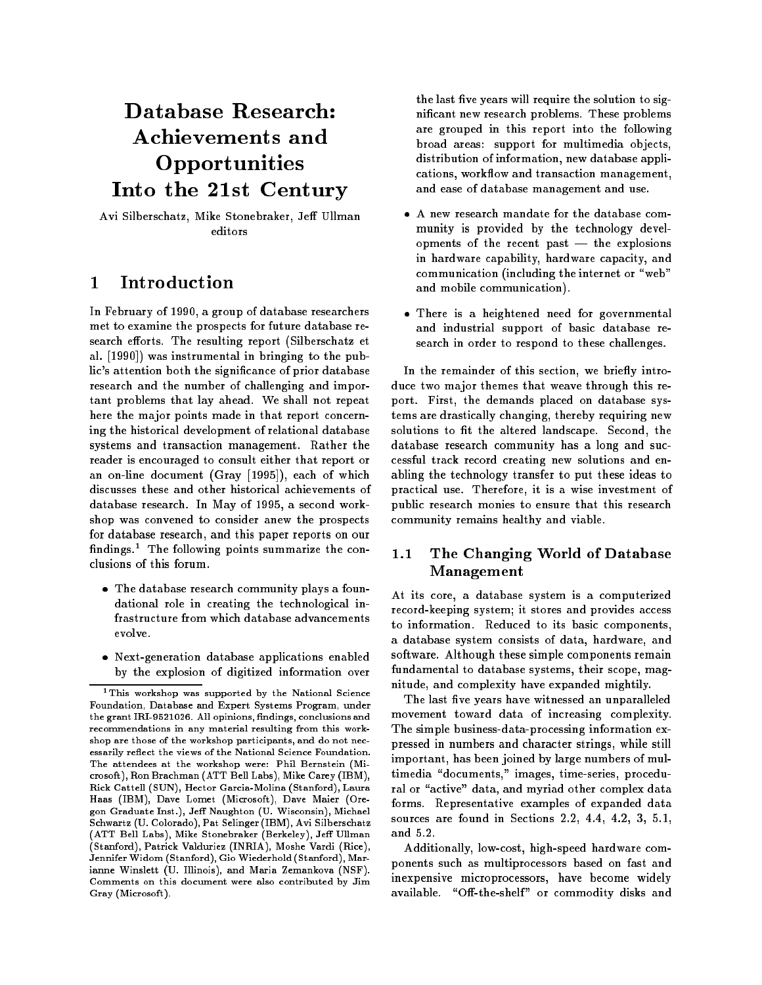# Database Research: Achievements and Opportunities Into the 21st Century

Avi Silberschatz, Mike Stonebraker, Jeff Ullman editors

# 1 Introduction

In February of 1990, a group of database researchers met to examine the prospects for future database research efforts. The resulting report (Silberschatz et al. [1990]) was instrumental in bringing to the public's attention both the signicance of prior database research and the number of challenging and important problems that lay ahead. We shall not repeat here the major points made in that report concerning the historical development of relational database systems and transaction management. Rather the reader is encouraged to consult either that report or an on-line document (Gray [1995]), each of which discusses these and other historical achievements of database research. In May of 1995, a second workshop was convened to consider anew the prospects for database research, and this paper reports on our nndings. The following points summarize the conclusions of this forum.

- The database research community plays a foundational role in creating the technological in-
- Next-generation database applications enabled by the explosion of digitized information over

the last five years will require the solution to signicant new research problems. These problems are grouped in this report into the following broad areas: support for multimedia objects, distribution of information, new database applications, workflow and transaction management, and ease of database management and use.

- A new research mandate for the database community is provided by the technology developments of the recent past  $-$  the explosions in hardware capability, hardware capacity, and communication (including the internet or "web" and mobile communication).
- There is a heightened need for governmental and industrial support of basic database research in order to respond to these challenges.

In the remainder of this section, we briefly introduce two major themes that weave through this report. First, the demands placed on database systems are drastically changing, thereby requiring new solutions to fit the altered landscape. Second, the database research community has a long and successful track record creating new solutions and enabling the technology transfer to put these ideas to practical use. Therefore, it is a wise investment of public research monies to ensure that this research community remains healthy and viable.

## 1.1 The Changing World of Database Management

At its core, a database system is a computerized record-keeping system; it stores and provides access to information. Reduced to its basic components, a database system consists of data, hardware, and software. Although these simple components remain fundamental to database systems, their scope, magnitude, and complexity have expanded mightily.

The last five years have witnessed an unparalleled movement toward data of increasing complexity. The simple business-data-processing information expressed in numbers and character strings, while still important, has been joined by large numbers of multimedia "documents," images, time-series, procedural or "active" data, and myriad other complex data forms. Representative examples of expanded data sources are found in Sections 2.2, 4.4, 4.2, 3, 5.1, and 5.2.

Additionally, low-cost, high-speed hardware components such as multiprocessors based on fast and inexpensive microprocessors, have become widely available. "Off-the-shelf" or commodity disks and

<sup>&</sup>lt;sup>1</sup> This workshop was supported by the National Science Foundation, Database and Expert Systems Program, under the grant IRI-9521026. All opinions, findings, conclusions and recommendations in any material resulting from this workshop are those of the workshop participants, and do not necessarily reflect the views of the National Science Foundation. The attendees at the workshop were: Phil Bernstein (Microsoft), Ron Brachman (ATT Bell Labs), Mike Carey (IBM), Rick Cattell (SUN), Hector Garcia-Molina (Stanford), Laura Haas (IBM), Dave Lomet (Microsoft), Dave Maier (Oregon Graduate Inst.), Jeff Naughton (U. Wisconsin), Michael Schwartz (U. Colorado), Pat Selinger (IBM), Avi Silberschatz (ATT Bell Labs), Mike Stonebraker (Berkeley), Jeff Ullman (Stanford), Patrick Valduriez (INRIA), Moshe Vardi (Rice), Jennifer Widom (Stanford), Gio Wiederhold (Stanford), Marianne Winslett (U. Illinois), and Maria Zemankova (NSF). Comments on this document were also contributed by Jim Gray (Microsoft).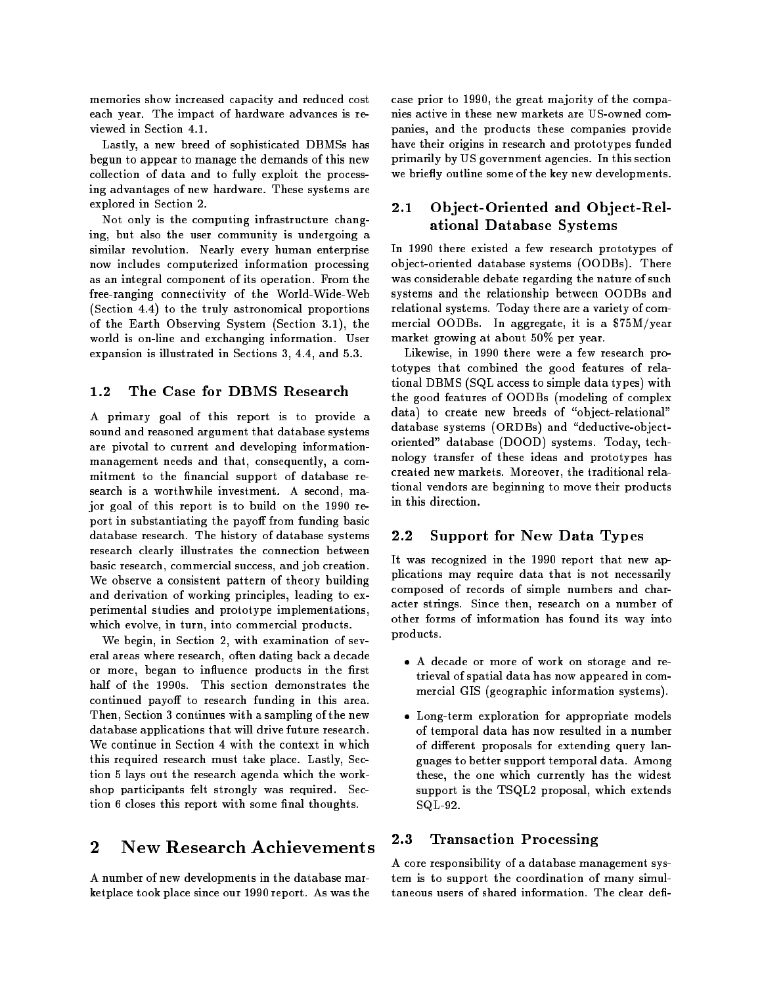memories show increased capacity and reduced cost each year. The impact of hardware advances is reviewed in Section 4.1.

Lastly, a new breed of sophisticated DBMSs has begun to appear to manage the demands of this new collection of data and to fully exploit the processing advantages of new hardware. These systems are explored in Section 2.

Not only is the computing infrastructure changing, but also the user community is undergoing a similar revolution. Nearly every human enterprise now includes computerized information processing as an integral component of its operation. From the free-ranging connectivity of the World-Wide-Web (Section 4.4) to the truly astronomical proportions of the Earth Observing System (Section 3.1), the world is on-line and exchanging information. User expansion is illustrated in Sections 3, 4.4, and 5.3.

### 1.2 The Case for DBMS Research

A primary goal of this report is to provide a sound and reasoned argument that database systems are pivotal to current and developing informationmanagement needs and that, consequently, a commitment to the financial support of database research is a worthwhile investment. A second, major goal of this report is to build on the 1990 report in substantiating the payoff from funding basic database research. The history of database systems research clearly illustrates the connection between basic research, commercial success, and job creation. We observe a consistent pattern of theory building and derivation of working principles, leading to experimental studies and prototype implementations, which evolve, in turn, into commercial products.

We begin, in Section 2, with examination of several areas where research, often dating back a decade or more, began to influence products in the first half of the 1990s. This section demonstrates the continued payoff to research funding in this area. Then, Section 3 continues with a sampling of the new database applications that will drive future research. We continue in Section 4 with the context in which this required research must take place. Lastly, Section 5 lays out the research agenda which the workshop participants felt strongly was required. Section 6 closes this report with some final thoughts.

## 2 New Research Achievements

A number of new developments in the database marketplace took place since our 1990 report. As was the

case prior to 1990, the great majority of the companies active in these new markets are US-owned companies, and the products these companies provide have their origins in research and prototypes funded primarily by US government agencies. In this section we briefly outline some of the key new developments.

## 2.1 Object-Oriented and Object-Relational Database Systems

In 1990 there existed a few research prototypes of object-oriented database systems (OODBs). There was considerable debate regarding the nature of such systems and the relationship between OODBs and relational systems. Today there are a variety of commercial OODBs. In aggregate, it is a \$75M/year market growing at about 50% per year.

Likewise, in 1990 there were a few research prototypes that combined the good features of relational DBMS (SQL access to simple data types) with the good features of OODBs (modeling of complex data) to create new breeds of "object-relational" database systems (ORDBs) and "deductive-objectoriented" database (DOOD) systems. Today, technology transfer of these ideas and prototypes has created new markets. Moreover, the traditional relational vendors are beginning to move their products in this direction.

### Support for New Data Types  $2.2$

It was recognized in the 1990 report that new applications may require data that is not necessarily composed of records of simple numbers and character strings. Since then, research on a number of other forms of information has found its way into products.

- A decade or more of work on storage and retrieval of spatial data has now appeared in commercial GIS (geographic information systems).
- Long-term exploration for appropriate models of temporal data has now resulted in a number of different proposals for extending query languages to better support temporal data. Among these, the one which currently has the widest support is the TSQL2 proposal, which extends SQL-92.

## 2.3 Transaction Processing

A core responsibility of a database management system is to support the coordination of many simultaneous users of shared information. The clear defi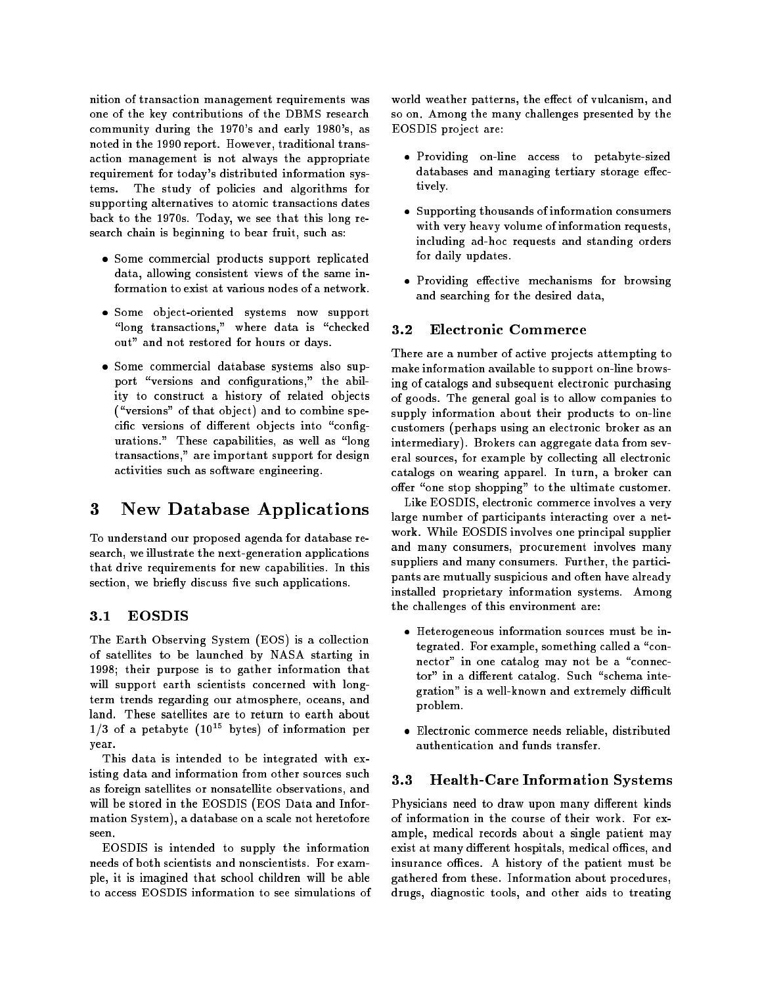nition of transaction management requirements was one of the key contributions of the DBMS research community during the 1970's and early 1980's, as noted in the 1990 report. However, traditional transaction management is not always the appropriate requirement for today's distributed information sys-The study of policies and algorithms for tems. supporting alternatives to atomic transactions dates back to the 1970s. Today, we see that this long research chain is beginning to bear fruit, such as:

- Some commercial products support replicated data, allowing consistent views of the same information to exist at various nodes of a network.
- Some object-oriented systems now support "long transactions," where data is "checked out" and not restored for hours or days.
- Some commercial database systems also support "versions and configurations," the ability to construct a history of related objects ("versions" of that object) and to combine specific versions of different objects into "configurations." These capabilities, as well as "long transactions," are important support for design activities such as software engineering.

## 3 New Database Applications

To understand our proposed agenda for database research, we illustrate the next-generation applications that drive requirements for new capabilities. In this section, we briefly discuss five such applications.

### 3.1 EOSDIS

The Earth Observing System (EOS) is a collection of satellites to be launched by NASA starting in 1998; their purpose is to gather information that will support earth scientists concerned with longterm trends regarding our atmosphere, oceans, and land. These satellites are to return to earth about  $1/3$  of a petabyte  $(10^{15}$  bytes) of information per year.

This data is intended to be integrated with existing data and information from other sources such as foreign satellites or nonsatellite observations, and will be stored in the EOSDIS (EOS Data and Information System), a database on a scale not heretofore seen.

EOSDIS is intended to supply the information needs of both scientists and nonscientists. For example, it is imagined that school children will be able to access EOSDIS information to see simulations of world weather patterns, the effect of vulcanism, and so on. Among the many challenges presented by the EOSDIS project are:

- Providing on-line access to petabyte-sized databases and managing tertiary storage effectively.
- Supporting thousands of information consumers with very heavy volume of information requests, including ad-hoc requests and standing orders for daily updates.
- . Providing effective mechanisms for browsing and searching for the desired data,

#### 3.2 Electronic Commerce  $3.2$

There are a number of active projects attempting to make information available to support on-line browsing of catalogs and subsequent electronic purchasing of goods. The general goal is to allow companies to supply information about their products to on-line customers (perhaps using an electronic broker as an intermediary). Brokers can aggregate data from several sources, for example by collecting all electronic catalogs on wearing apparel. In turn, a broker can offer "one stop shopping" to the ultimate customer.

Like EOSDIS, electronic commerce involves a very large number of participants interacting over a network. While EOSDIS involves one principal supplier and many consumers, procurement involves many suppliers and many consumers. Further, the participants are mutually suspicious and often have already installed proprietary information systems. Among the challenges of this environment are:

- Heterogeneous information sources must be integrated. For example, something called a "connector" in one catalog may not be a "connector" in a different catalog. Such "schema integration" is a well-known and extremely difficult problem.
- Electronic commerce needs reliable, distributed authentication and funds transfer.

## 3.3 Health-Care Information Systems

Physicians need to draw upon many different kinds of information in the course of their work. For example, medical records about a single patient may exist at many different hospitals, medical offices, and insurance offices. A history of the patient must be gathered from these. Information about procedures, drugs, diagnostic tools, and other aids to treating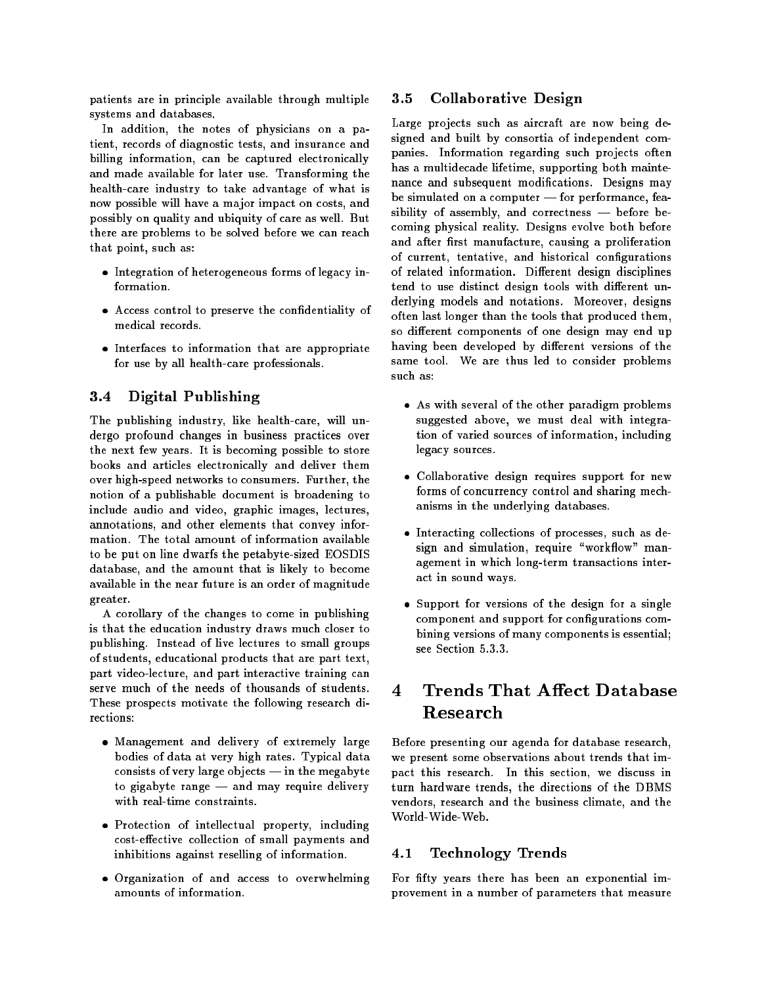patients are in principle available through multiple systems and databases.

In addition, the notes of physicians on a patient, records of diagnostic tests, and insurance and billing information, can be captured electronically and made available for later use. Transforming the health-care industry to take advantage of what is now possible will have a major impact on costs, and possibly on quality and ubiquity of care as well. But there are problems to be solved before we can reach that point, such as:

- $\bullet$  Integration of heterogeneous forms of legacy information.
- Access control to preserve the condentiality of medical records.
- Interfaces to information that are appropriate for use by all health-care professionals.

## 3.4 Digital Publishing

The publishing industry, like health-care, will undergo profound changes in business practices over the next few years. It is becoming possible to store books and articles electronically and deliver them over high-speed networks to consumers. Further, the notion of a publishable document is broadening to include audio and video, graphic images, lectures, annotations, and other elements that convey information. The total amount of information available to be put on line dwarfs the petabyte-sized EOSDIS database, and the amount that is likely to become available in the near future is an order of magnitude greater.

A corollary of the changes to come in publishing is that the education industry draws much closer to publishing. Instead of live lectures to small groups of students, educational products that are part text, part video-lecture, and part interactive training can serve much of the needs of thousands of students. These prospects motivate the following research directions:

- Management and delivery of extremely large bodies of data at very high rates. Typical data consists of very large objects  $-$  in the megabyte to gigabyte range - and may require delivery with real-time constraints.
- Protection of intellectual property, including cost-effective collection of small payments and inhibitions against reselling of information.
- Organization of and access to overwhelming amounts of information.

#### $3.5$ Collaborative Design

Large projects such as aircraft are now being designed and built by consortia of independent companies. Information regarding such projects often has a multidecade lifetime, supporting both maintenance and subsequent modications. Designs may be simulated on a computer - for performance, feasibility of assembly, and correctness  $-$  before becoming physical reality. Designs evolve both before and after first manufacture, causing a proliferation of current, tentative, and historical congurations of related information. Different design disciplines tend to use distinct design tools with different underlying models and notations. Moreover, designs often last longer than the tools that produced them, so different components of one design may end up having been developed by different versions of the same tool. We are thus led to consider problems such as:

- As with several of the other paradigm problems suggested above, we must deal with integration of varied sources of information, including legacy sources.
- Collaborative design requires support for new forms of concurrency control and sharing mechanisms in the underlying databases.
- Interacting collections of processes, such as design and simulation, require "workflow" management in which long-term transactions interact in sound ways.
- Support for versions of the design for a single component and support for congurations combining versions of many components is essential; see Section 5.3.3.

# 4 Trends That Affect Database Research

Before presenting our agenda for database research, we present some observations about trends that impact this research. In this section, we discuss in turn hardware trends, the directions of the DBMS vendors, research and the business climate, and the World-Wide-Web.

### 4.1 Technology Trends

For fifty years there has been an exponential improvement in a number of parameters that measure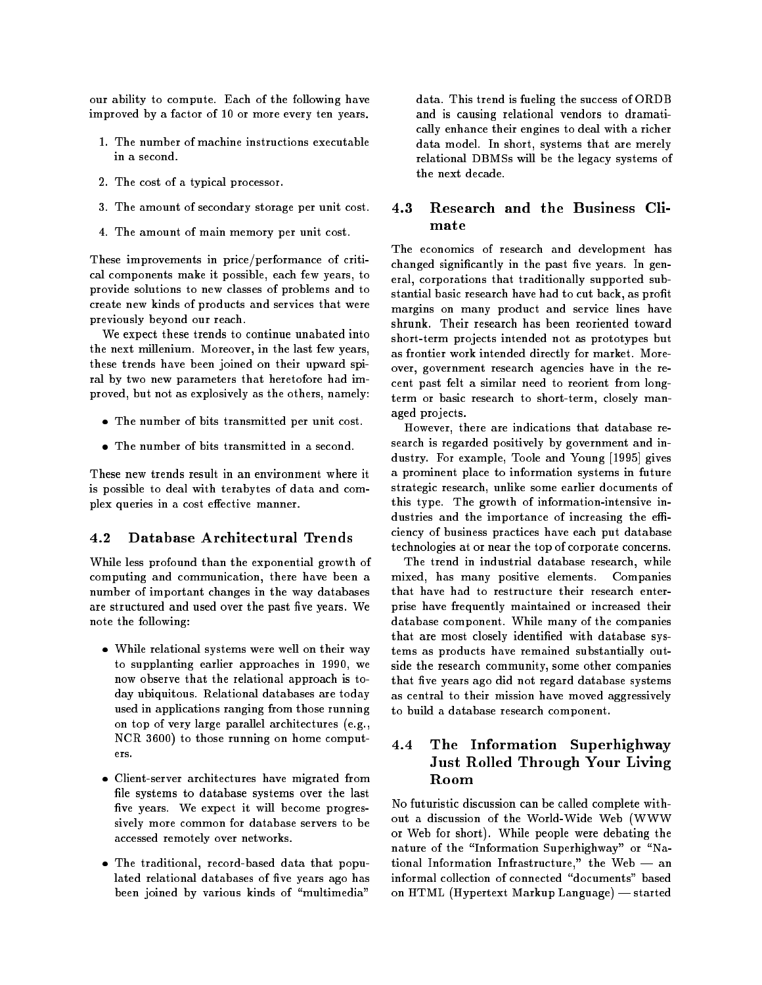our ability to compute. Each of the following have improved by a factor of 10 or more every ten years.

- 1. The number of machine instructions executable in a second.
- 2. The cost of a typical processor.
- 3. The amount of secondary storage per unit cost.
- 4. The amount of main memory per unit cost.

These improvements in price/performance of critical components make it possible, each few years, to provide solutions to new classes of problems and to create new kinds of products and services that were previously beyond our reach.

We expect these trends to continue unabated into the next millenium. Moreover, in the last few years, these trends have been joined on their upward spiral by two new parameters that heretofore had improved, but not as explosively as the others, namely:

- The number of bits transmitted per unit cost.
- The number of bits transmitted in a second.

These new trends result in an environment where it is possible to deal with terabytes of data and complex queries in a cost effective manner.

### 4.2 Database Architectural Trends

While less profound than the exponential growth of computing and communication, there have been a number of important changes in the way databases are structured and used over the past five years. We note the following:

- While relational systems were well on their way to supplanting earlier approaches in 1990, we now observe that the relational approach is today ubiquitous. Relational databases are today used in applications ranging from those running on top of very large parallel architectures (e.g., NCR 3600) to those running on home computers.
- Client-server architectures have migrated from file systems to database systems over the last five years. We expect it will become progressively more common for database servers to be accessed remotely over networks.
- The traditional, record-based data that populated relational databases of five years ago has been joined by various kinds of "multimedia"

data. This trend is fueling the success of ORDB and is causing relational vendors to dramatically enhance their engines to deal with a richer data model. In short, systems that are merely relational DBMSs will be the legacy systems of the next decade.

### $4.3$ Research and the Business Climate

The economics of research and development has changed significantly in the past five years. In general, corporations that traditionally supported substantial basic research have had to cut back, as profit margins on many product and service lines have shrunk. Their research has been reoriented toward short-term projects intended not as prototypes but as frontier work intended directly for market. Moreover, government research agencies have in the recent past felt a similar need to reorient from longterm or basic research to short-term, closely managed projects.

However, there are indications that database research is regarded positively by government and industry. For example, Toole and Young [1995] gives a prominent place to information systems in future strategic research, unlike some earlier documents of this type. The growth of information-intensive industries and the importance of increasing the efficiency of business practices have each put database technologies at or near the top of corporate concerns.

The trend in industrial database research, while mixed, has many positive elements. Companies that have had to restructure their research enterprise have frequently maintained or increased their database component. While many of the companies that are most closely identied with database systems as products have remained substantially outside the research community, some other companies that five years ago did not regard database systems as central to their mission have moved aggressively to build a database research component.

## 4.4 The Information Superhighway Just Rolled Through Your Living Room

No futuristic discussion can be called complete without a discussion of the World-Wide Web (WWW or Web for short). While people were debating the nature of the "Information Superhighway" or "National Information Infrastructure," the Web  $-$  an informal collection of connected "documents" based on  $HTML$  (Hypertext Markup Language) — started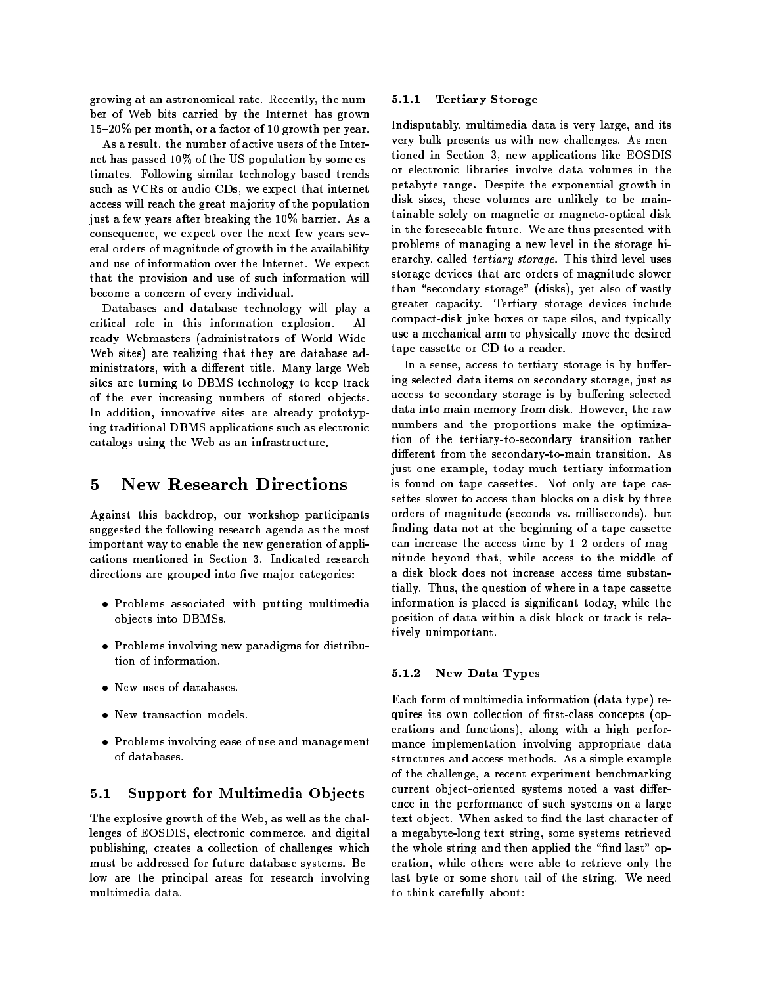growing at an astronomical rate. Recently, the number of Web bits carried by the Internet has grown 15{20% per month, or a factor of 10 growth per year.

As a result, the number of active users of the Internet has passed 10% of the US population by some estimates. Following similar technology-based trends such as VCRs or audio CDs, we expect that internet access will reach the great majority of the population just a few years after breaking the 10% barrier. As a consequence, we expect over the next few years several orders of magnitude of growth in the availability and use of information over the Internet. We expect that the provision and use of such information will become a concern of every individual.

Databases and database technology will play a critical role in this information explosion. Already Webmasters (administrators of World-Wide-Web sites) are realizing that they are database administrators, with a different title. Many large Web sites are turning to DBMS technology to keep track of the ever increasing numbers of stored objects. In addition, innovative sites are already prototyping traditional DBMS applications such as electronic catalogs using the Web as an infrastructure.

## 5 New Research Directions

Against this backdrop, our workshop participants suggested the following research agenda as the most important way to enable the new generation of applications mentioned in Section 3. Indicated research directions are grouped into five major categories:

- Problems associated with putting multimedia objects into DBMSs.
- Problems involving new paradigms for distribution of information.
- New uses of databases.
- 
- Problems involving ease of use and management of databases

## 5.1 Support for Multimedia Objects

The explosive growth of the Web, as well as the challenges of EOSDIS, electronic commerce, and digital publishing, creates a collection of challenges which must be addressed for future database systems. Below are the principal areas for research involving multimedia data.

#### Tertiary Storage  $5.1.1$

Indisputably, multimedia data is very large, and its very bulk presents us with new challenges. As mentioned in Section 3, new applications like EOSDIS or electronic libraries involve data volumes in the petabyte range. Despite the exponential growth in disk sizes, these volumes are unlikely to be maintainable solely on magnetic or magneto-optical disk in the foreseeable future. We are thus presented with problems of managing a new level in the storage hierarchy, called tertiary storage. This third level uses storage devices that are orders of magnitude slower than "secondary storage" (disks), yet also of vastly greater capacity. Tertiary storage devices include compact-disk juke boxes or tape silos, and typically use a mechanical arm to physically move the desired tape cassette or CD to a reader.

In a sense, access to tertiary storage is by buffering selected data items on secondary storage, just as access to secondary storage is by buffering selected data into main memory from disk. However, the raw numbers and the proportions make the optimization of the tertiary-to-secondary transition rather different from the secondary-to-main transition. As just one example, today much tertiary information is found on tape cassettes. Not only are tape cassettes slower to access than blocks on a disk by three orders of magnitude (seconds vs. milliseconds), but finding data not at the beginning of a tape cassette can increase the access time by  $1-2$  orders of magnitude beyond that, while access to the middle of a disk block does not increase access time substantially. Thus, the question of where in a tape cassette information is placed is signicant today, while the position of data within a disk block or track is relatively unimportant.

### 5.1.2 New Data Types

Each form of multimedia information (data type) requires its own collection of first-class concepts (operations and functions), along with a high performance implementation involving appropriate data structures and access methods. As a simple example of the challenge, a recent experiment benchmarking current object-oriented systems noted a vast difference in the performance of such systems on a large text object. When asked to find the last character of a megabyte-long text string, some systems retrieved the whole string and then applied the "find last" operation, while others were able to retrieve only the last byte or some short tail of the string. We need to think carefully about: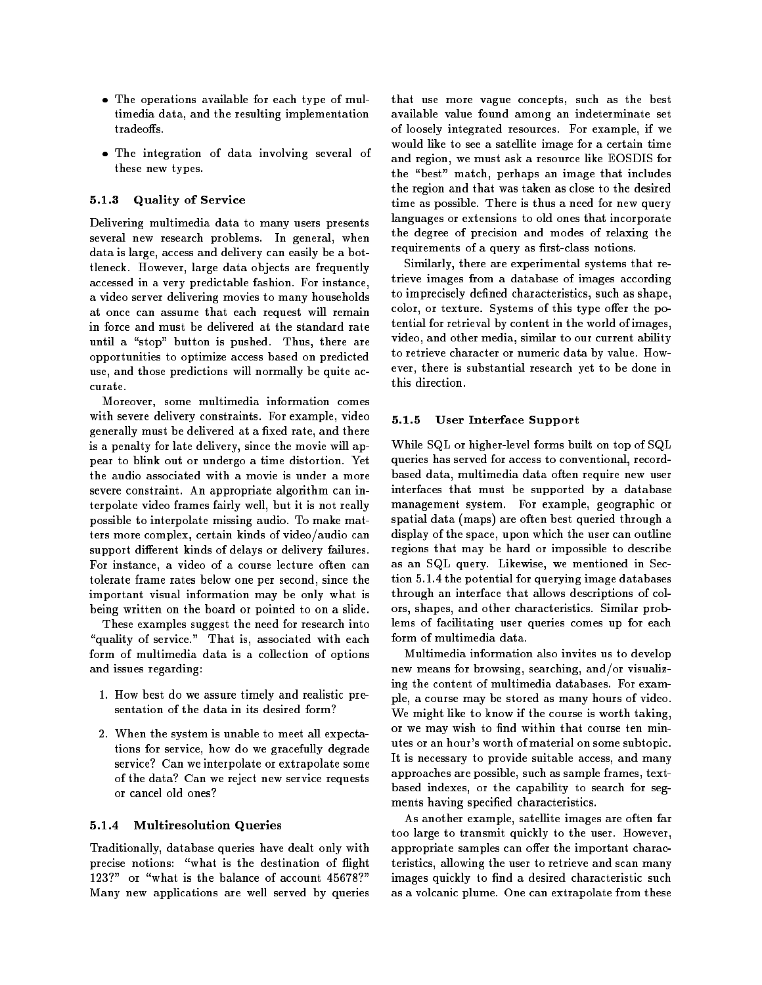- The operations available for each type of multimedia data, and the resulting implementation tradeoffs.
- The integration of data involving several of these new types.

### 5.1.3 Quality of Service

Delivering multimedia data to many users presents several new research problems. In general, when data is large, access and delivery can easily be a bottleneck. However, large data objects are frequently accessed in a very predictable fashion. For instance, a video server delivering movies to many households at once can assume that each request will remain in force and must be delivered at the standard rate until a "stop" button is pushed. Thus, there are opportunities to optimize access based on predicted use, and those predictions will normally be quite accurate.

Moreover, some multimedia information comes with severe delivery constraints. For example, video generally must be delivered at a fixed rate, and there is a penalty for late delivery, since the movie will appear to blink out or undergo a time distortion. Yet severe constraint. An appropriate algorithm can interpolate video frames fairly well, but it is not really possible to interpolate missing audio. To make matters more complex, certain kinds of video/audio can support different kinds of delays or delivery failures. For instance, a video of a course lecture often can tolerate frame rates below one per second, since the important visual information may be only what is being written on the board or pointed to on a slide.

These examples suggest the need for research into "quality of service." That is, associated with each form of multimedia data is a collection of options and issues regarding:

- 1. How best do we assure timely and realistic presentation of the data in its desired form?
- 2. When the system is unable to meet all expectations for service, how do we gracefully degrade service? Can we interpolate or extrapolate some of the data? Can we reject new service requests or cancel old ones?

### 5.1.4 Multiresolution Queries

Traditionally, database queries have dealt only with precise notions: "what is the destination of flight 123?" or "what is the balance of account 45678?" Many new applications are well served by queries that use more vague concepts, such as the best available value found among an indeterminate set of loosely integrated resources. For example, if we would like to see a satellite image for a certain time and region, we must ask a resource like EOSDIS for the \best" match, perhaps an image that includes the region and that was taken as close to the desired time as possible. There is thus a need for new query languages or extensions to old ones that incorporate the degree of precision and modes of relaxing the requirements of a query as first-class notions.

Similarly, there are experimental systems that retrieve images from a database of images according to imprecisely defined characteristics, such as shape, color, or texture. Systems of this type offer the potential for retrieval by content in the world of images, video, and other media, similar to our current ability to retrieve character or numeric data by value. However, there is substantial research yet to be done in this direction.

#### $5.1.5$ User Interface Support

While SQL or higher-level forms built on top of SQL queries has served for access to conventional, recordbased data, multimedia data often require new user interfaces that must be supported by a database management system. For example, geographic or spatial data (maps) are often best queried through a display of the space, upon which the user can outline regions that may be hard or impossible to describe as an SQL query. Likewise, we mentioned in Section 5.1.4 the potential for querying image databases through an interface that allows descriptions of colors, shapes, and other characteristics. Similar problems of facilitating user queries comes up for each form of multimedia data.

Multimedia information also invites us to develop new means for browsing, searching, and/or visualizing the content of multimedia databases. For example, a course may be stored as many hours of video. We might like to know if the course is worth taking, or we may wish to find within that course ten minutes or an hour's worth of material on some subtopic. It is necessary to provide suitable access, and many approaches are possible, such as sample frames, textbased indexes, or the capability to search for segments having specied characteristics.

As another example, satellite images are often far too large to transmit quickly to the user. However, appropriate samples can offer the important characteristics, allowing the user to retrieve and scan many images quickly to find a desired characteristic such as a volcanic plume. One can extrapolate from these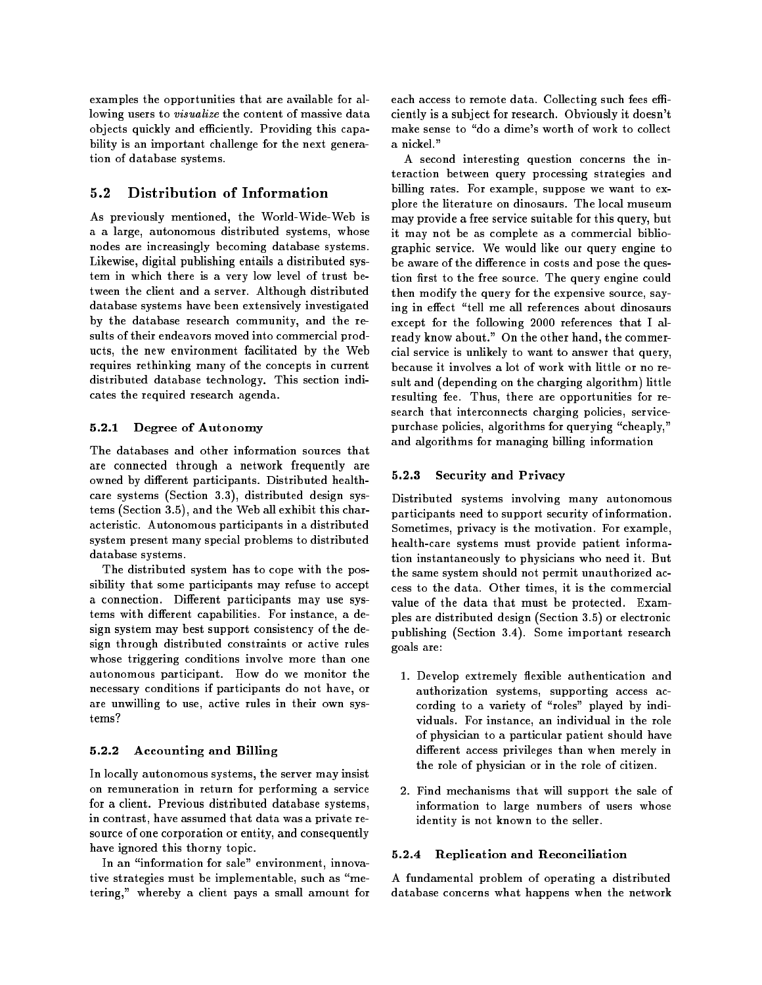examples the opportunities that are available for allowing users to *visualize* the content of massive data objects quickly and efficiently. Providing this capability is an important challenge for the next generation of database systems.

## 5.2 Distribution of Information

As previously mentioned, the World-Wide-Web is a a large, autonomous distributed systems, whose nodes are increasingly becoming database systems. Likewise, digital publishing entails a distributed system in which there is a very low level of trust between the client and a server. Although distributed database systems have been extensively investigated by the database research community, and the results of their endeavors moved into commercial products, the new environment facilitated by the Web requires rethinking many of the concepts in current distributed database technology. This section indicates the required research agenda.

#### 5.2.1 Degree of Autonomy

The databases and other information sources that are connected through a network frequently are owned by different participants. Distributed healthcare systems (Section 3.3), distributed design systems (Section 3.5), and the Web all exhibit this characteristic. Autonomous participants in a distributed system present many special problems to distributed database systems.

The distributed system has to cope with the possibility that some participants may refuse to accept a connection. Different participants may use systems with different capabilities. For instance, a design system may best support consistency of the design through distributed constraints or active rules whose triggering conditions involve more than one autonomous participant. How do we monitor the necessary conditions if participants do not have, or are unwilling to use, active rules in their own systems?

### 5.2.2 Accounting and Billing

In locally autonomous systems, the server may insist on remuneration in return for performing a service for a client. Previous distributed database systems, in contrast, have assumed that data was a private resource of one corporation or entity, and consequently have ignored this thorny topic.

In an "information for sale" environment, innovative strategies must be implementable, such as "metering," whereby a client pays a small amount for each access to remote data. Collecting such fees efficiently is a subject for research. Obviously it doesn't make sense to "do a dime's worth of work to collect a nickel."

A second interesting question concerns the interaction between query processing strategies and billing rates. For example, suppose we want to explore the literature on dinosaurs. The local museum may provide a free service suitable for this query, but it may not be as complete as a commercial bibliographic service. We would like our query engine to be aware of the difference in costs and pose the question first to the free source. The query engine could then modify the query for the expensive source, saying in effect "tell me all references about dinosaurs except for the following 2000 references that I already know about." On the other hand, the commercial service is unlikely to want to answer that query, because it involves a lot of work with little or no result and (depending on the charging algorithm) little resulting fee. Thus, there are opportunities for research that interconnects charging policies, servicepurchase policies, algorithms for querying "cheaply," and algorithms for managing billing information

### 5.2.3 Security and Privacy

Distributed systems involving many autonomous participants need to support security of information. Sometimes, privacy is the motivation. For example, health-care systems must provide patient information instantaneously to physicians who need it. But the same system should not permit unauthorized access to the data. Other times, it is the commercial value of the data that must be protected. Examples are distributed design (Section 3.5) or electronic publishing (Section 3.4). Some important research goals are:

- 1. Develop extremely flexible authentication and authorization systems, supporting access according to a variety of "roles" played by individuals. For instance, an individual in the role of physician to a particular patient should have different access privileges than when merely in the role of physician or in the role of citizen.
- 2. Find mechanisms that will support the sale of information to large numbers of users whose identity is not known to the seller.

#### 5.2.4 5.2.4 Replication and Reconciliation

A fundamental problem of operating a distributed database concerns what happens when the network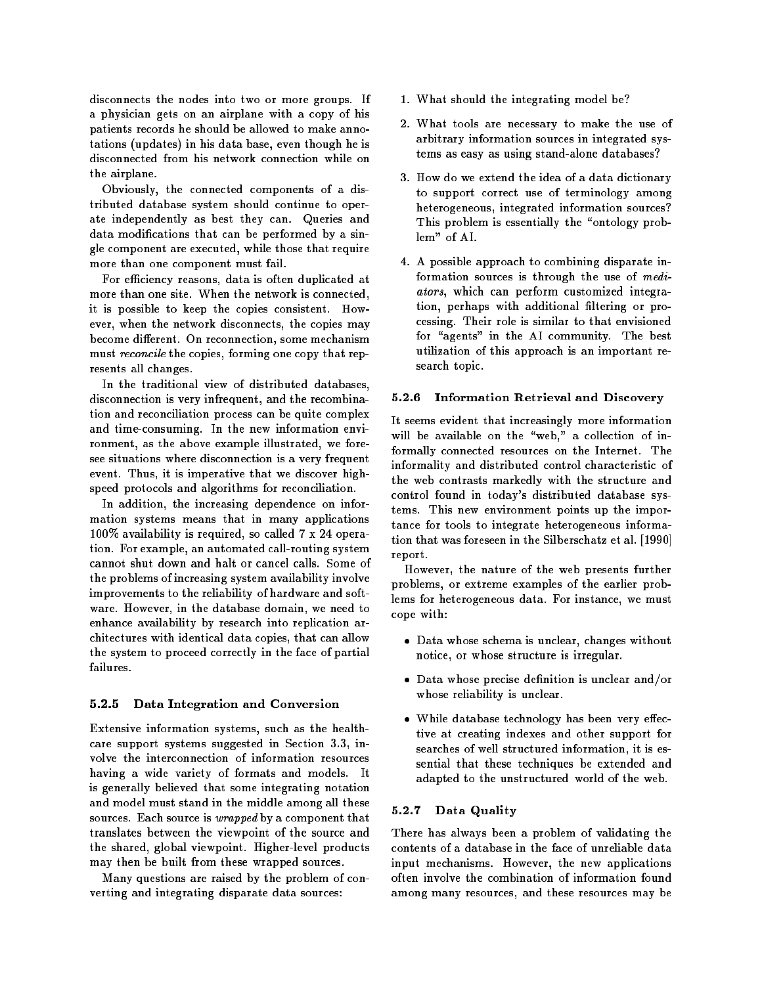disconnects the nodes into two or more groups. If a physician gets on an airplane with a copy of his patients records he should be allowed to make annotations (updates) in his data base, even though he is disconnected from his network connection while on the airplane. the airplane. The airplane is a straightful and an airplane in the airplane in the airplane in the airplane in

Obviously, the connected components of a distributed database system should continue to operate independently as best they can. Queries and data modications that can be performed by a single component are executed, while those that require more than one component must fail.

For efficiency reasons, data is often duplicated at more than one site. When the network is connected, it is possible to keep the copies consistent. However, when the network disconnects, the copies may become different. On reconnection, some mechanism must reconcile the copies, forming one copy that represents all changes.

In the traditional view of distributed databases, disconnection is very infrequent, and the recombination and reconciliation process can be quite complex and time-consuming. In the new information environment, as the above example illustrated, we foresee situations where disconnection is a very frequent event. Thus, it is imperative that we discover highspeed protocols and algorithms for reconciliation.

In addition, the increasing dependence on information systems means that in many applications 100% availability is required, so called 7 x 24 operation. For example, an automated call-routing system cannot shut down and halt or cancel calls. Some of the problems of increasing system availability involve improvements to the reliability of hardware and software. However, in the database domain, we need to enhance availability by research into replication architectures with identical data copies, that can allow the system to proceed correctly in the face of partial failures.

### 5.2.5 Data Integration and Conversion

Extensive information systems, such as the healthcare support systems suggested in Section 3.3, involve the interconnection of information resources having a wide variety of formats and models. It is generally believed that some integrating notation and model must stand in the middle among all these sources. Each source is wrapped by a component that translates between the viewpoint of the source and the shared, global viewpoint. Higher-level products may then be built from these wrapped sources.

Many questions are raised by the problem of converting and integrating disparate data sources:

- 1. What should the integrating model be?
- 2. What tools are necessary to make the use of arbitrary information sources in integrated systems as easy as using stand-alone databases?
- 3. How do we extend the idea of a data dictionary to support correct use of terminology among heterogeneous, integrated information sources? This problem is essentially the "ontology problem" of AI.
- 4. A possible approach to combining disparate information sources is through the use of mediators, which can perform customized integration, perhaps with additional filtering or processing. Their role is similar to that envisioned for "agents" in the AI community. The best utilization of this approach is an important research topic.

### 5.2.6 Information Retrieval and Discovery

It seems evident that increasingly more information will be available on the "web," a collection of informally connected resources on the Internet. The informality and distributed control characteristic of the web contrasts markedly with the structure and control found in today's distributed database systems. This new environment points up the importance for tools to integrate heterogeneous information that was foreseen in the Silberschatz et al. [1990] report.

However, the nature of the web presents further problems, or extreme examples of the earlier problems for heterogeneous data. For instance, we must cope with:

- Data whose schema is unclear, changes without notice, or whose structure is irregular.
- $\bullet$  Data whose precise definition is unclear and/or whose reliability is unclear.
- . While database technology has been very effective at creating indexes and other support for searches of well structured information, it is essential that these techniques be extended and adapted to the unstructured world of the web.

### 5.2.7 Data Quality

There has always been a problem of validating the contents of a database in the face of unreliable data input mechanisms. However, the new applications often involve the combination of information found among many resources, and these resources may be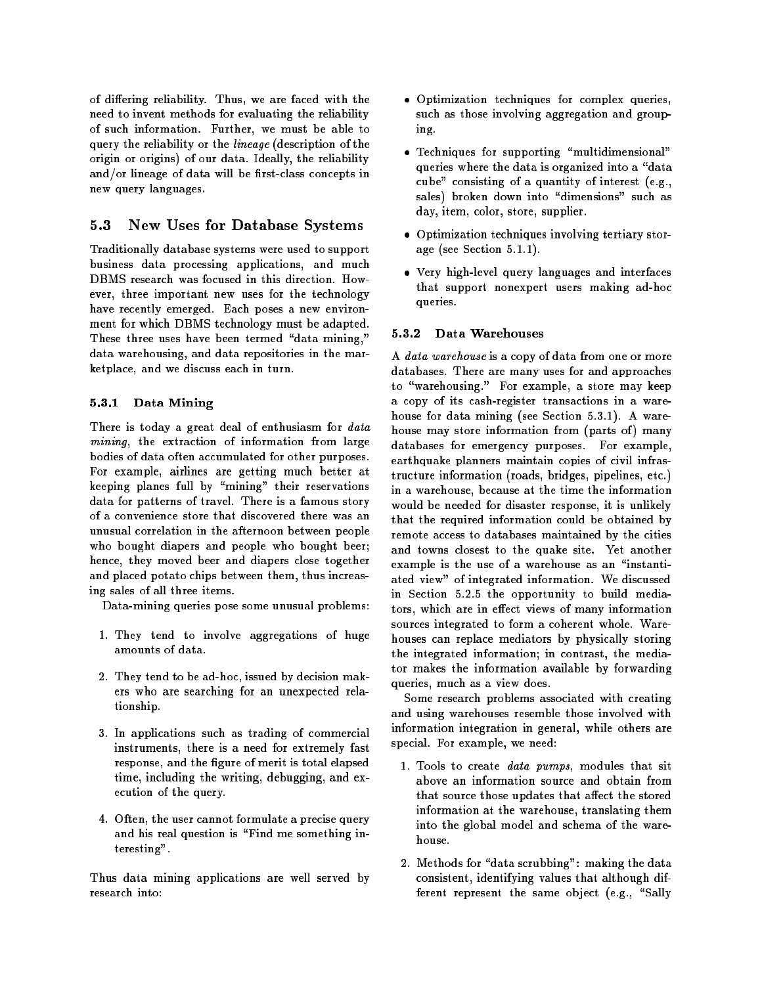of differing reliability. Thus, we are faced with the need to invent methods for evaluating the reliability of such information. Further, we must be able to query the reliability or the *lineage* (description of the origin or origins) of our data. Ideally, the reliability and/or lineage of data will be first-class concepts in new query languages.

### $5.3$ 5.3 New Uses for Database Systems

Traditionally database systems were used to support business data processing applications, and much DBMS research was focused in this direction. However, three important new uses for the technology have recently emerged. Each poses a new environment for which DBMS technology must be adapted. These three uses have been termed "data mining," data warehousing, and data repositories in the marketplace, and we discuss each in turn.

### 5.3.1 Data Mining

There is today a great deal of enthusiasm for *data* mining, the extraction of information from large bodies of data often accumulated for other purposes. For example, airlines are getting much better at keeping planes full by "mining" their reservations data for patterns of travel. There is a famous story of a convenience store that discovered there was an unusual correlation in the afternoon between people who bought diapers and people who bought beer; hence, they moved beer and diapers close together and placed potato chips between them, thus increasing sales of all three items.

Data-mining queries pose some unusual problems:

- 1. They tend to involve aggregations of huge amounts of data.
- 2. They tend to be ad-hoc, issued by decision makers who are searching for an unexpected relationship.
- 3. In applications such as trading of commercial instruments, there is a need for extremely fast response, and the figure of merit is total elapsed time, including the writing, debugging, and execution of the query.
- 4. Often, the user cannot formulate a precise query and his real question is "Find me something interesting".

Thus data mining applications are well served by research into:

- Optimization techniques for complex queries, such as those involving aggregation and grouping.
- $\bullet$  Techniques for supporting "multidimensional" queries where the data is organized into a "data cube" consisting of a quantity of interest (e.g., sales) broken down into "dimensions" such as day, item, color, store, supplier.
- Optimization techniques involving tertiary storage (see Section 5.1.1).
- Very high-level query languages and interfaces that support nonexpert users making ad-hoc queries.

### 5.3.2 Data Warehouses

A data warehouse is a copy of data from one or more databases. There are many uses for and approaches to "warehousing." For example, a store may keep a copy of its cash-register transactions in a warehouse for data mining (see Section 5.3.1). A warehouse may store information from (parts of) many databases for emergency purposes. For example, earthquake planners maintain copies of civil infrastructure information (roads, bridges, pipelines, etc.) in a warehouse, because at the time the information would be needed for disaster response, it is unlikely that the required information could be obtained by remote access to databases maintained by the cities and towns closest to the quake site. Yet another example is the use of a warehouse as an "instantiated view" of integrated information. We discussed in Section 5.2.5 the opportunity to build mediators, which are in effect views of many information sources integrated to form a coherent whole. Warehouses can replace mediators by physically storing the integrated information; in contrast, the mediator makes the information available by forwarding queries, much as a view does.

Some research problems associated with creating and using warehouses resemble those involved with information integration in general, while others are special. For example, we need:

- 1. Tools to create data pumps, modules that sit above an information source and obtain from that source those updates that affect the stored information at the warehouse, translating them into the global model and schema of the warehouse.
- 2. Methods for "data scrubbing": making the data consistent, identifying values that although different represent the same object  $(e.g., "Sally")$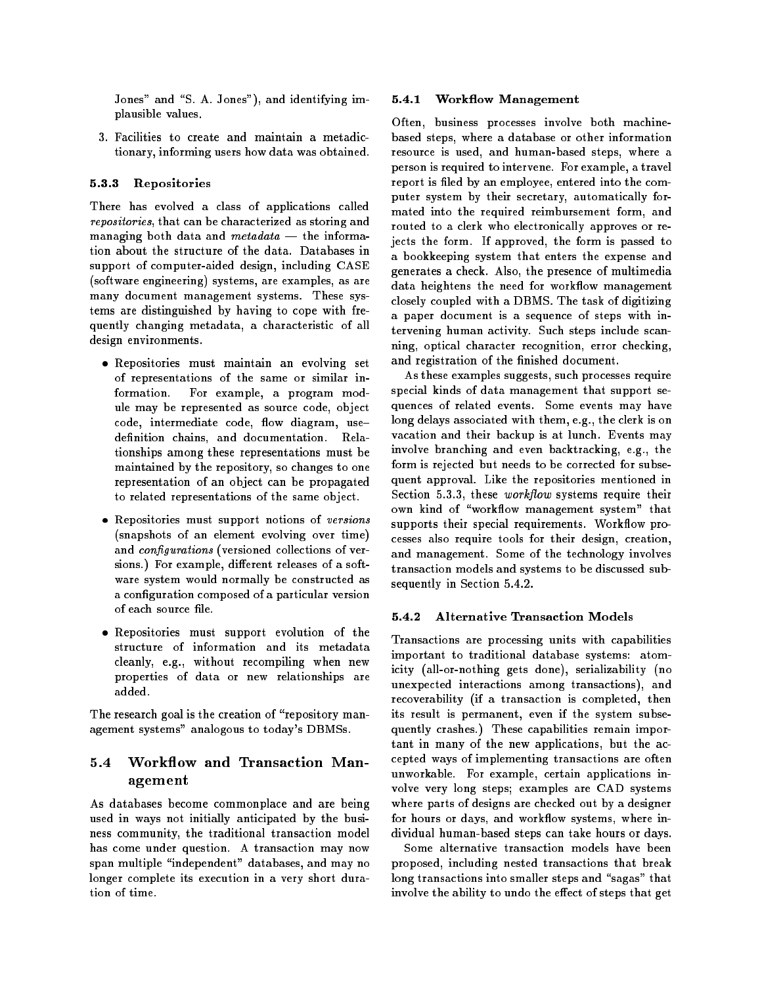Jones" and "S. A. Jones"), and identifying implausible values.

3. Facilities to create and maintain a metadictionary, informing users how data was obtained.

### 5.3.3 Repositories

There has evolved a class of applications called repositories, that can be characterized as storing and managing both data and  $metadata$  — the information about the structure of the data. Databases in support of computer-aided design, including CASE (software engineering) systems, are examples, as are many document management systems. These systems are distinguished by having to cope with frequently changing metadata, a characteristic of all design environments.

- Repositories must maintain an evolving set of representations of the same or similar information. For example, a program module may be represented as source code, object code, intermediate code, flow diagram, usedefinition chains, and documentation. Relationships among these representations must be maintained by the repository, so changes to one representation of an object can be propagated to related representations of the same object.
- Repositories must support notions of versions (snapshots of an element evolving over time) and configurations (versioned collections of versions.) For example, different releases of a software system would normally be constructed as a configuration composed of a particular version
- Repositories must support evolution of the structure of information and its metadata cleanly, e.g., without recompiling when new properties of data or new relationships are added.

The research goal is the creation of "repository management systems" analogous to today's DBMSs.

### $5.4$ Workflow and Transaction Management

As databases become commonplace and are being used in ways not initially anticipated by the business community, the traditional transaction model has come under question. A transaction may now span multiple "independent" databases, and may no longer complete its execution in a very short duration of time.

### 5.4.1 Workflow Management

Often, business processes involve both machinebased steps, where a database or other information resource is used, and human-based steps, where a person is required to intervene. For example, a travel report is filed by an employee, entered into the computer system by their secretary, automatically formated into the required reimbursement form, and routed to a clerk who electronically approves or rejects the form. If approved, the form is passed to a bookkeeping system that enters the expense and generates a check. Also, the presence of multimedia data heightens the need for workflow management closely coupled with a DBMS. The task of digitizing a paper document is a sequence of steps with intervening human activity. Such steps include scanning, optical character recognition, error checking, and registration of the finished document.

As these examples suggests, such processes require special kinds of data management that support sequences of related events. Some events may have long delays associated with them, e.g., the clerk is on vacation and their backup is at lunch. Events may involve branching and even backtracking, e.g., the form is rejected but needs to be corrected for subsequent approval. Like the repositories mentioned in Section 5.3.3, these workflow systems require their own kind of "workflow management system" that supports their special requirements. Workflow processes also require tools for their design, creation, and management. Some of the technology involves transaction models and systems to be discussed subsequently in Section 5.4.2.

#### 5.4.2 5.4.2 Alternative Transaction Models

Transactions are processing units with capabilities important to traditional database systems: atomicity (all-or-nothing gets done), serializability (no unexpected interactions among transactions), and recoverability (if a transaction is completed, then its result is permanent, even if the system subsequently crashes.) These capabilities remain important in many of the new applications, but the accepted ways of implementing transactions are often unworkable. For example, certain applications involve very long steps; examples are CAD systems where parts of designs are checked out by a designer for hours or days, and workflow systems, where individual human-based steps can take hours or days.

Some alternative transaction models have been proposed, including nested transactions that break long transactions into smaller steps and "sagas" that involve the ability to undo the effect of steps that get